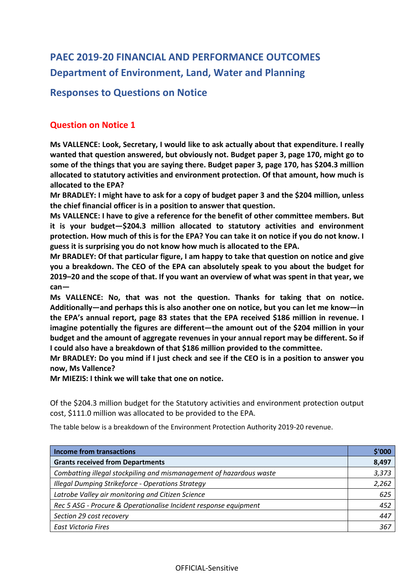# **PAEC 2019-20 FINANCIAL AND PERFORMANCE OUTCOMES Department of Environment, Land, Water and Planning**

# **Responses to Questions on Notice**

# **Question on Notice 1**

**Ms VALLENCE: Look, Secretary, I would like to ask actually about that expenditure. I really wanted that question answered, but obviously not. Budget paper 3, page 170, might go to some of the things that you are saying there. Budget paper 3, page 170, has \$204.3 million allocated to statutory activities and environment protection. Of that amount, how much is allocated to the EPA?**

**Mr BRADLEY: I might have to ask for a copy of budget paper 3 and the \$204 million, unless the chief financial officer is in a position to answer that question.**

**Ms VALLENCE: I have to give a reference for the benefit of other committee members. But it is your budget—\$204.3 million allocated to statutory activities and environment protection. How much of this is for the EPA? You can take it on notice if you do not know. I guess it is surprising you do not know how much is allocated to the EPA.**

**Mr BRADLEY: Of that particular figure, I am happy to take that question on notice and give you a breakdown. The CEO of the EPA can absolutely speak to you about the budget for 2019–20 and the scope of that. If you want an overview of what was spent in that year, we can—**

**Ms VALLENCE: No, that was not the question. Thanks for taking that on notice. Additionally—and perhaps this is also another one on notice, but you can let me know—in the EPA's annual report, page 83 states that the EPA received \$186 million in revenue. I imagine potentially the figures are different—the amount out of the \$204 million in your budget and the amount of aggregate revenues in your annual report may be different. So if I could also have a breakdown of that \$186 million provided to the committee.** 

**Mr BRADLEY: Do you mind if I just check and see if the CEO is in a position to answer you now, Ms Vallence?** 

**Mr MIEZIS: I think we will take that one on notice.**

Of the \$204.3 million budget for the Statutory activities and environment protection output cost, \$111.0 million was allocated to be provided to the EPA.

The table below is a breakdown of the Environment Protection Authority 2019-20 revenue.

| <b>Income from transactions</b>                                     | \$'000 |
|---------------------------------------------------------------------|--------|
| <b>Grants received from Departments</b>                             | 8,497  |
| Combatting illegal stockpiling and mismanagement of hazardous waste | 3,373  |
| Illegal Dumping Strikeforce - Operations Strategy                   | 2,262  |
| Latrobe Valley air monitoring and Citizen Science                   | 625    |
| Rec 5 ASG - Procure & Operationalise Incident response equipment    | 452    |
| Section 29 cost recovery                                            | 447    |
| East Victoria Fires                                                 | 367    |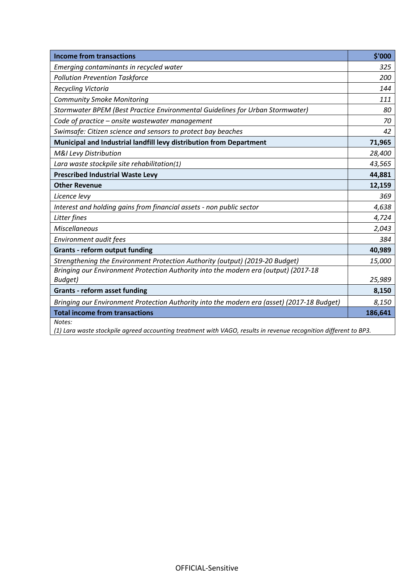| <b>Income from transactions</b>                                                            | \$'000  |
|--------------------------------------------------------------------------------------------|---------|
| Emerging contaminants in recycled water                                                    | 325     |
| <b>Pollution Prevention Taskforce</b>                                                      | 200     |
| Recycling Victoria                                                                         | 144     |
| <b>Community Smoke Monitoring</b>                                                          | 111     |
| Stormwater BPEM (Best Practice Environmental Guidelines for Urban Stormwater)              | 80      |
| Code of practice - onsite wastewater management                                            | 70      |
| Swimsafe: Citizen science and sensors to protect bay beaches                               | 42      |
| Municipal and Industrial landfill levy distribution from Department                        | 71,965  |
| <b>M&amp;I Levy Distribution</b>                                                           | 28,400  |
| Lara waste stockpile site rehabilitation(1)                                                | 43,565  |
| <b>Prescribed Industrial Waste Levy</b>                                                    | 44,881  |
| <b>Other Revenue</b>                                                                       | 12,159  |
| Licence levy                                                                               | 369     |
| Interest and holding gains from financial assets - non public sector                       | 4,638   |
| Litter fines                                                                               | 4,724   |
| <b>Miscellaneous</b>                                                                       | 2,043   |
| Environment audit fees                                                                     | 384     |
| <b>Grants - reform output funding</b>                                                      | 40,989  |
| Strengthening the Environment Protection Authority (output) (2019-20 Budget)               | 15,000  |
| Bringing our Environment Protection Authority into the modern era (output) (2017-18        |         |
| Budget)                                                                                    | 25,989  |
| <b>Grants - reform asset funding</b>                                                       | 8,150   |
| Bringing our Environment Protection Authority into the modern era (asset) (2017-18 Budget) | 8,150   |
| <b>Total income from transactions</b>                                                      | 186,641 |
| Notes:<br>1.00                                                                             |         |

*(1) Lara waste stockpile agreed accounting treatment with VAGO, results in revenue recognition different to BP3.*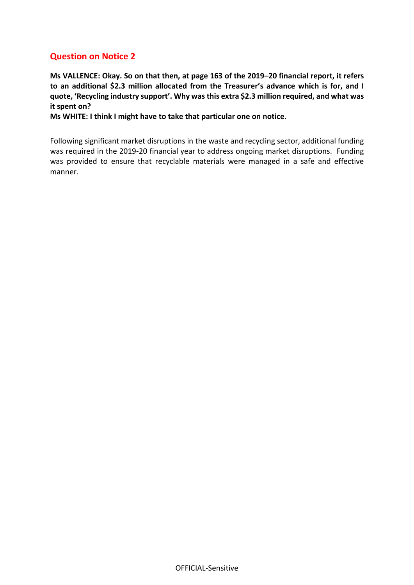**Ms VALLENCE: Okay. So on that then, at page 163 of the 2019–20 financial report, it refers to an additional \$2.3 million allocated from the Treasurer's advance which is for, and I quote, 'Recycling industry support'. Why was this extra \$2.3 million required, and what was it spent on?**

**Ms WHITE: I think I might have to take that particular one on notice.**

Following significant market disruptions in the waste and recycling sector, additional funding was required in the 2019-20 financial year to address ongoing market disruptions. Funding was provided to ensure that recyclable materials were managed in a safe and effective manner.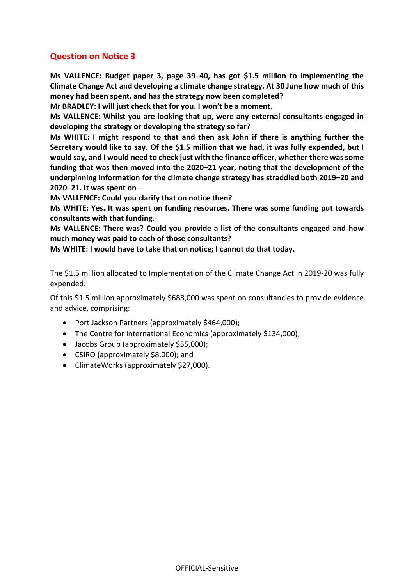**Ms VALLENCE: Budget paper 3, page 39–40, has got \$1.5 million to implementing the Climate Change Act and developing a climate change strategy. At 30 June how much of this money had been spent, and has the strategy now been completed?**

**Mr BRADLEY: I will just check that for you. I won't be a moment.**

**Ms VALLENCE: Whilst you are looking that up, were any external consultants engaged in developing the strategy or developing the strategy so far?**

**Ms WHITE: I might respond to that and then ask John if there is anything further the Secretary would like to say. Of the \$1.5 million that we had, it was fully expended, but I would say, and I would need to check just with the finance officer, whether there was some funding that was then moved into the 2020–21 year, noting that the development of the underpinning information for the climate change strategy has straddled both 2019–20 and 2020–21. It was spent on—**

**Ms VALLENCE: Could you clarify that on notice then?**

**Ms WHITE: Yes. It was spent on funding resources. There was some funding put towards consultants with that funding.**

**Ms VALLENCE: There was? Could you provide a list of the consultants engaged and how much money was paid to each of those consultants?**

**Ms WHITE: I would have to take that on notice; I cannot do that today.**

The \$1.5 million allocated to Implementation of the Climate Change Act in 2019-20 was fully expended.

Of this \$1.5 million approximately \$688,000 was spent on consultancies to provide evidence and advice, comprising:

- Port Jackson Partners (approximately \$464,000);
- The Centre for International Economics (approximately \$134,000);
- Jacobs Group (approximately \$55,000);
- CSIRO (approximately \$8,000); and
- ClimateWorks (approximately \$27,000).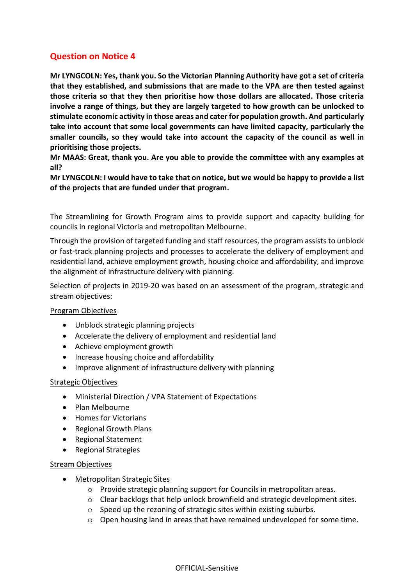**Mr LYNGCOLN: Yes, thank you. So the Victorian Planning Authority have got a set of criteria that they established, and submissions that are made to the VPA are then tested against those criteria so that they then prioritise how those dollars are allocated. Those criteria involve a range of things, but they are largely targeted to how growth can be unlocked to stimulate economic activity in those areas and cater for population growth. And particularly take into account that some local governments can have limited capacity, particularly the smaller councils, so they would take into account the capacity of the council as well in prioritising those projects.**

**Mr MAAS: Great, thank you. Are you able to provide the committee with any examples at all?**

**Mr LYNGCOLN: I would have to take that on notice, but we would be happy to provide a list of the projects that are funded under that program.**

The Streamlining for Growth Program aims to provide support and capacity building for councils in regional Victoria and metropolitan Melbourne.

Through the provision of targeted funding and staff resources, the program assists to unblock or fast-track planning projects and processes to accelerate the delivery of employment and residential land, achieve employment growth, housing choice and affordability, and improve the alignment of infrastructure delivery with planning.

Selection of projects in 2019-20 was based on an assessment of the program, strategic and stream objectives:

#### Program Objectives

- Unblock strategic planning projects
- Accelerate the delivery of employment and residential land
- Achieve employment growth
- Increase housing choice and affordability
- Improve alignment of infrastructure delivery with planning

#### Strategic Objectives

- Ministerial Direction / VPA Statement of Expectations
- Plan Melbourne
- Homes for Victorians
- Regional Growth Plans
- Regional Statement
- Regional Strategies

#### **Stream Objectives**

- Metropolitan Strategic Sites
	- o Provide strategic planning support for Councils in metropolitan areas.
	- o Clear backlogs that help unlock brownfield and strategic development sites.
	- o Speed up the rezoning of strategic sites within existing suburbs.
	- o Open housing land in areas that have remained undeveloped for some time.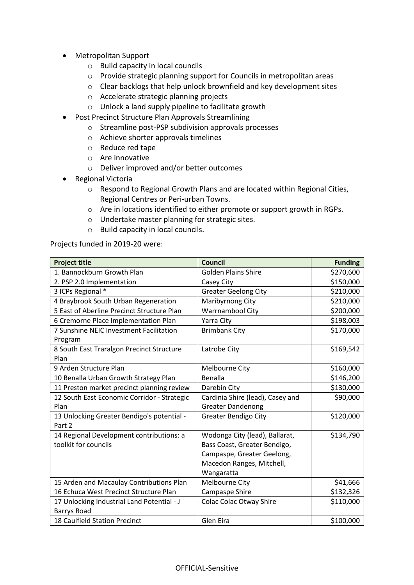- Metropolitan Support
	- o Build capacity in local councils
	- o Provide strategic planning support for Councils in metropolitan areas
	- o Clear backlogs that help unlock brownfield and key development sites
	- o Accelerate strategic planning projects
	- o Unlock a land supply pipeline to facilitate growth
- Post Precinct Structure Plan Approvals Streamlining
	- o Streamline post-PSP subdivision approvals processes
	- o Achieve shorter approvals timelines
	- o Reduce red tape
	- o Are innovative
	- o Deliver improved and/or better outcomes
- Regional Victoria
	- o Respond to Regional Growth Plans and are located within Regional Cities, Regional Centres or Peri-urban Towns.
	- o Are in locations identified to either promote or support growth in RGPs.
	- o Undertake master planning for strategic sites.
	- o Build capacity in local councils.

Projects funded in 2019-20 were:

| <b>Project title</b>                                             | <b>Council</b>                                                                                                                          | <b>Funding</b> |
|------------------------------------------------------------------|-----------------------------------------------------------------------------------------------------------------------------------------|----------------|
| 1. Bannockburn Growth Plan                                       | <b>Golden Plains Shire</b>                                                                                                              | \$270,600      |
| 2. PSP 2.0 Implementation                                        | Casey City                                                                                                                              | \$150,000      |
| 3 ICPs Regional *                                                | <b>Greater Geelong City</b>                                                                                                             | \$210,000      |
| 4 Braybrook South Urban Regeneration                             | Maribyrnong City                                                                                                                        | \$210,000      |
| 5 East of Aberline Precinct Structure Plan                       | Warrnambool City                                                                                                                        | \$200,000      |
| 6 Cremorne Place Implementation Plan                             | Yarra City                                                                                                                              | \$198,003      |
| 7 Sunshine NEIC Investment Facilitation<br>Program               | <b>Brimbank City</b>                                                                                                                    | \$170,000      |
| 8 South East Traralgon Precinct Structure<br>Plan                | Latrobe City                                                                                                                            | \$169,542      |
| 9 Arden Structure Plan                                           | Melbourne City                                                                                                                          | \$160,000      |
| 10 Benalla Urban Growth Strategy Plan                            | Benalla                                                                                                                                 | \$146,200      |
| 11 Preston market precinct planning review                       | Darebin City                                                                                                                            | \$130,000      |
| 12 South East Economic Corridor - Strategic                      | Cardinia Shire (lead), Casey and                                                                                                        | \$90,000       |
| Plan                                                             | <b>Greater Dandenong</b>                                                                                                                |                |
| 13 Unlocking Greater Bendigo's potential -<br>Part 2             | <b>Greater Bendigo City</b>                                                                                                             | \$120,000      |
| 14 Regional Development contributions: a<br>toolkit for councils | Wodonga City (lead), Ballarat,<br>Bass Coast, Greater Bendigo,<br>Campaspe, Greater Geelong,<br>Macedon Ranges, Mitchell,<br>Wangaratta | \$134,790      |
| 15 Arden and Macaulay Contributions Plan                         | Melbourne City                                                                                                                          | \$41,666       |
| 16 Echuca West Precinct Structure Plan                           | Campaspe Shire                                                                                                                          | \$132,326      |
| 17 Unlocking Industrial Land Potential - J<br><b>Barrys Road</b> | <b>Colac Colac Otway Shire</b>                                                                                                          | \$110,000      |
| 18 Caulfield Station Precinct                                    | Glen Eira                                                                                                                               | \$100,000      |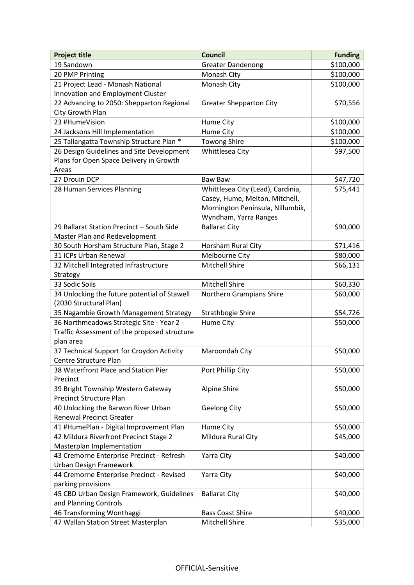| <b>Project title</b>                         | <b>Council</b>                    | <b>Funding</b> |
|----------------------------------------------|-----------------------------------|----------------|
| 19 Sandown                                   | <b>Greater Dandenong</b>          | \$100,000      |
| 20 PMP Printing                              | Monash City                       | \$100,000      |
| 21 Project Lead - Monash National            | Monash City                       | \$100,000      |
| Innovation and Employment Cluster            |                                   |                |
| 22 Advancing to 2050: Shepparton Regional    | <b>Greater Shepparton City</b>    | \$70,556       |
| City Growth Plan                             |                                   |                |
| 23 #HumeVision                               | Hume City                         | \$100,000      |
| 24 Jacksons Hill Implementation              | Hume City                         | \$100,000      |
| 25 Tallangatta Township Structure Plan *     | <b>Towong Shire</b>               | \$100,000      |
| 26 Design Guidelines and Site Development    | Whittlesea City                   | \$97,500       |
| Plans for Open Space Delivery in Growth      |                                   |                |
| Areas                                        |                                   |                |
| 27 Drouin DCP                                | <b>Baw Baw</b>                    | \$47,720       |
| 28 Human Services Planning                   | Whittlesea City (Lead), Cardinia, | \$75,441       |
|                                              | Casey, Hume, Melton, Mitchell,    |                |
|                                              | Mornington Peninsula, Nillumbik,  |                |
|                                              | Wyndham, Yarra Ranges             |                |
| 29 Ballarat Station Precinct - South Side    | <b>Ballarat City</b>              | \$90,000       |
| Master Plan and Redevelopment                |                                   |                |
| 30 South Horsham Structure Plan, Stage 2     | Horsham Rural City                | \$71,416       |
| 31 ICPs Urban Renewal                        | Melbourne City                    | \$80,000       |
| 32 Mitchell Integrated Infrastructure        | <b>Mitchell Shire</b>             | \$66,131       |
| Strategy                                     |                                   |                |
| 33 Sodic Soils                               | <b>Mitchell Shire</b>             | \$60,330       |
| 34 Unlocking the future potential of Stawell | Northern Grampians Shire          | \$60,000       |
| (2030 Structural Plan)                       |                                   |                |
| 35 Nagambie Growth Management Strategy       | Strathbogie Shire                 | \$54,726       |
| 36 Northmeadows Strategic Site - Year 2 -    | Hume City                         | \$50,000       |
| Traffic Assessment of the proposed structure |                                   |                |
| plan area                                    |                                   |                |
| 37 Technical Support for Croydon Activity    | Maroondah City                    | \$50,000       |
| Centre Structure Plan                        |                                   |                |
| 38 Waterfront Place and Station Pier         | Port Phillip City                 | \$50,000       |
| Precinct                                     |                                   |                |
| 39 Bright Township Western Gateway           | Alpine Shire                      | \$50,000       |
| <b>Precinct Structure Plan</b>               |                                   |                |
| 40 Unlocking the Barwon River Urban          | <b>Geelong City</b>               | \$50,000       |
| <b>Renewal Precinct Greater</b>              |                                   |                |
| 41 #HumePlan - Digital Improvement Plan      | Hume City                         | \$50,000       |
| 42 Mildura Riverfront Precinct Stage 2       | Mildura Rural City                | \$45,000       |
| Masterplan Implementation                    |                                   |                |
| 43 Cremorne Enterprise Precinct - Refresh    | Yarra City                        | \$40,000       |
| Urban Design Framework                       |                                   |                |
| 44 Cremorne Enterprise Precinct - Revised    | Yarra City                        | \$40,000       |
| parking provisions                           |                                   |                |
| 45 CBD Urban Design Framework, Guidelines    | <b>Ballarat City</b>              | \$40,000       |
| and Planning Controls                        |                                   |                |
| 46 Transforming Wonthaggi                    | <b>Bass Coast Shire</b>           | \$40,000       |
| 47 Wallan Station Street Masterplan          | Mitchell Shire                    | \$35,000       |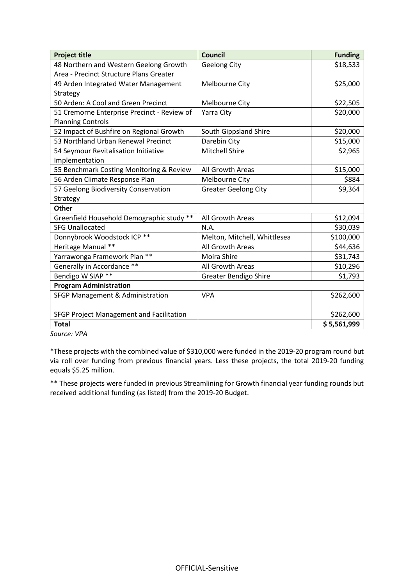| <b>Project title</b>                        | <b>Council</b>               | <b>Funding</b> |
|---------------------------------------------|------------------------------|----------------|
| 48 Northern and Western Geelong Growth      | <b>Geelong City</b>          | \$18,533       |
| Area - Precinct Structure Plans Greater     |                              |                |
| 49 Arden Integrated Water Management        | Melbourne City               | \$25,000       |
| Strategy                                    |                              |                |
| 50 Arden: A Cool and Green Precinct         | Melbourne City               | \$22,505       |
| 51 Cremorne Enterprise Precinct - Review of | Yarra City                   | \$20,000       |
| <b>Planning Controls</b>                    |                              |                |
| 52 Impact of Bushfire on Regional Growth    | South Gippsland Shire        | \$20,000       |
| 53 Northland Urban Renewal Precinct         | Darebin City                 | \$15,000       |
| 54 Seymour Revitalisation Initiative        | <b>Mitchell Shire</b>        | \$2,965        |
| Implementation                              |                              |                |
| 55 Benchmark Costing Monitoring & Review    | All Growth Areas             | \$15,000       |
| 56 Arden Climate Response Plan              | Melbourne City               | \$884          |
| 57 Geelong Biodiversity Conservation        | <b>Greater Geelong City</b>  | \$9,364        |
| Strategy                                    |                              |                |
| <b>Other</b>                                |                              |                |
| Greenfield Household Demographic study **   | All Growth Areas             | \$12,094       |
| <b>SFG Unallocated</b>                      | N.A.                         | \$30,039       |
| Donnybrook Woodstock ICP **                 | Melton, Mitchell, Whittlesea | \$100,000      |
| Heritage Manual **                          | All Growth Areas             | \$44,636       |
| Yarrawonga Framework Plan **                | Moira Shire                  | \$31,743       |
| Generally in Accordance **                  | All Growth Areas             | \$10,296       |
| Bendigo W SIAP **                           | <b>Greater Bendigo Shire</b> | \$1,793        |
| <b>Program Administration</b>               |                              |                |
| SFGP Management & Administration            | <b>VPA</b>                   | \$262,600      |
|                                             |                              |                |
| SFGP Project Management and Facilitation    |                              | \$262,600      |
| <b>Total</b>                                |                              | \$5,561,999    |

*Source: VPA*

\*These projects with the combined value of \$310,000 were funded in the 2019-20 program round but via roll over funding from previous financial years. Less these projects, the total 2019-20 funding equals \$5.25 million.

\*\* These projects were funded in previous Streamlining for Growth financial year funding rounds but received additional funding (as listed) from the 2019-20 Budget.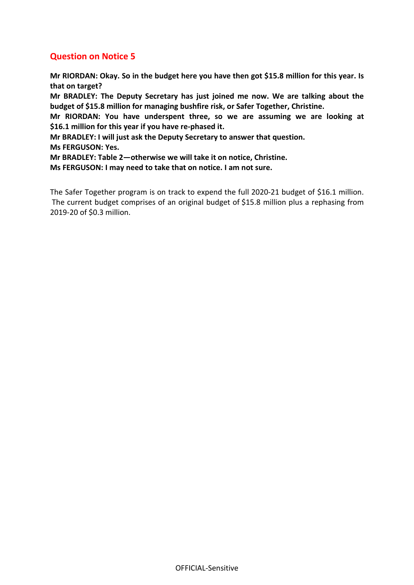**Mr RIORDAN: Okay. So in the budget here you have then got \$15.8 million for this year. Is that on target?**

**Mr BRADLEY: The Deputy Secretary has just joined me now. We are talking about the budget of \$15.8 million for managing bushfire risk, or Safer Together, Christine.**

**Mr RIORDAN: You have underspent three, so we are assuming we are looking at \$16.1 million for this year if you have re-phased it.**

**Mr BRADLEY: I will just ask the Deputy Secretary to answer that question.**

**Ms FERGUSON: Yes.**

**Mr BRADLEY: Table 2—otherwise we will take it on notice, Christine.**

**Ms FERGUSON: I may need to take that on notice. I am not sure.**

The Safer Together program is on track to expend the full 2020-21 budget of \$16.1 million.  The current budget comprises of an original budget of \$15.8 million plus a rephasing from 2019-20 of \$0.3 million.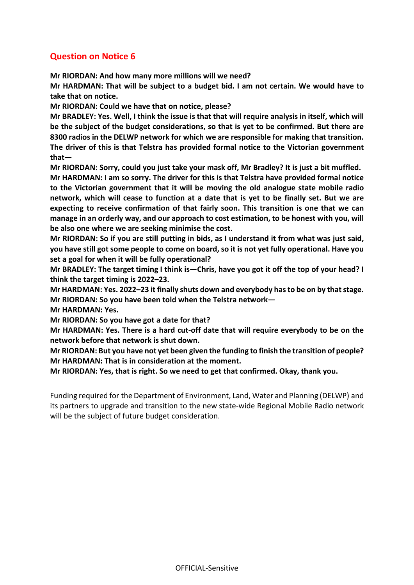**Mr RIORDAN: And how many more millions will we need?**

**Mr HARDMAN: That will be subject to a budget bid. I am not certain. We would have to take that on notice.**

**Mr RIORDAN: Could we have that on notice, please?**

**Mr BRADLEY: Yes. Well, I think the issue is that that will require analysis in itself, which will be the subject of the budget considerations, so that is yet to be confirmed. But there are 8300 radios in the DELWP network for which we are responsible for making that transition. The driver of this is that Telstra has provided formal notice to the Victorian government that—**

**Mr RIORDAN: Sorry, could you just take your mask off, Mr Bradley? It is just a bit muffled.**

**Mr HARDMAN: I am so sorry. The driver for this is that Telstra have provided formal notice to the Victorian government that it will be moving the old analogue state mobile radio network, which will cease to function at a date that is yet to be finally set. But we are expecting to receive confirmation of that fairly soon. This transition is one that we can manage in an orderly way, and our approach to cost estimation, to be honest with you, will be also one where we are seeking minimise the cost.**

**Mr RIORDAN: So if you are still putting in bids, as I understand it from what was just said, you have still got some people to come on board, so it is not yet fully operational. Have you set a goal for when it will be fully operational?**

**Mr BRADLEY: The target timing I think is—Chris, have you got it off the top of your head? I think the target timing is 2022–23.**

**Mr HARDMAN: Yes. 2022–23 it finally shuts down and everybody has to be on by that stage. Mr RIORDAN: So you have been told when the Telstra network—**

**Mr HARDMAN: Yes.**

**Mr RIORDAN: So you have got a date for that?**

**Mr HARDMAN: Yes. There is a hard cut-off date that will require everybody to be on the network before that network is shut down.**

**Mr RIORDAN: But you have not yet been given the funding to finish the transition of people? Mr HARDMAN: That is in consideration at the moment.**

**Mr RIORDAN: Yes, that is right. So we need to get that confirmed. Okay, thank you.**

Funding required for the Department of Environment, Land, Water and Planning (DELWP) and its partners to upgrade and transition to the new state-wide Regional Mobile Radio network will be the subject of future budget consideration.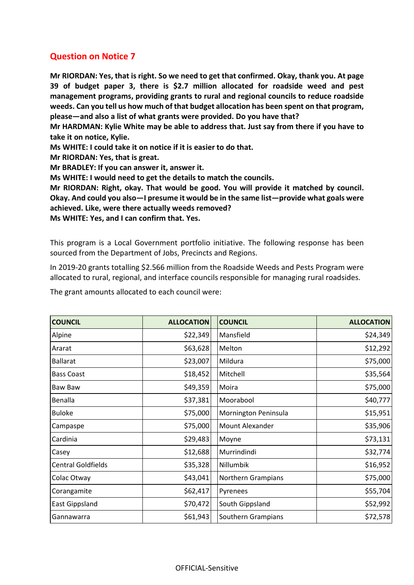**Mr RIORDAN: Yes, that is right. So we need to get that confirmed. Okay, thank you. At page 39 of budget paper 3, there is \$2.7 million allocated for roadside weed and pest management programs, providing grants to rural and regional councils to reduce roadside weeds. Can you tell us how much of that budget allocation has been spent on that program, please—and also a list of what grants were provided. Do you have that?**

**Mr HARDMAN: Kylie White may be able to address that. Just say from there if you have to take it on notice, Kylie.**

**Ms WHITE: I could take it on notice if it is easier to do that.**

**Mr RIORDAN: Yes, that is great.**

**Mr BRADLEY: If you can answer it, answer it.**

**Ms WHITE: I would need to get the details to match the councils.**

**Mr RIORDAN: Right, okay. That would be good. You will provide it matched by council. Okay. And could you also—I presume it would be in the same list—provide what goals were achieved. Like, were there actually weeds removed? Ms WHITE: Yes, and I can confirm that. Yes.**

This program is a Local Government portfolio initiative. The following response has been sourced from the Department of Jobs, Precincts and Regions.

In 2019-20 grants totalling \$2.566 million from the Roadside Weeds and Pests Program were allocated to rural, regional, and interface councils responsible for managing rural roadsides.

|  |  |  |  | The grant amounts allocated to each council were: |
|--|--|--|--|---------------------------------------------------|
|--|--|--|--|---------------------------------------------------|

| <b>COUNCIL</b>            | <b>ALLOCATION</b> | <b>COUNCIL</b>         | <b>ALLOCATION</b> |
|---------------------------|-------------------|------------------------|-------------------|
| Alpine                    | \$22,349          | Mansfield              | \$24,349          |
| Ararat                    | \$63,628          | Melton                 | \$12,292          |
| <b>Ballarat</b>           | \$23,007          | Mildura                | \$75,000          |
| <b>Bass Coast</b>         | \$18,452          | Mitchell               | \$35,564          |
| Baw Baw                   | \$49,359          | Moira                  | \$75,000          |
| Benalla                   | \$37,381          | Moorabool              | \$40,777          |
| <b>Buloke</b>             | \$75,000          | Mornington Peninsula   | \$15,951          |
| Campaspe                  | \$75,000          | <b>Mount Alexander</b> | \$35,906          |
| Cardinia                  | \$29,483          | Moyne                  | \$73,131          |
| Casey                     | \$12,688          | Murrindindi            | \$32,774          |
| <b>Central Goldfields</b> | \$35,328          | Nillumbik              | \$16,952          |
| Colac Otway               | \$43,041          | Northern Grampians     | \$75,000          |
| Corangamite               | \$62,417          | Pyrenees               | \$55,704          |
| East Gippsland            | \$70,472          | South Gippsland        | \$52,992          |
| Gannawarra                | \$61,943          | Southern Grampians     | \$72,578          |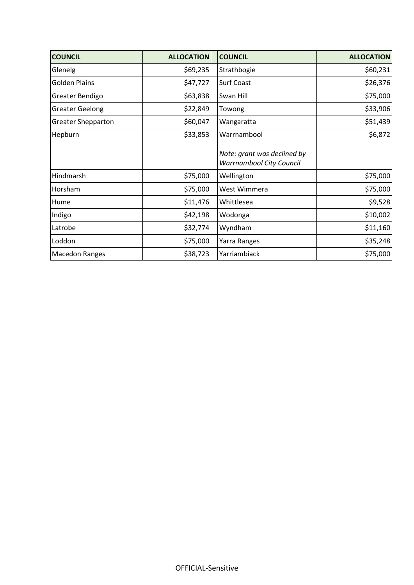| <b>COUNCIL</b>            | <b>ALLOCATION</b> | <b>COUNCIL</b>                                                 | <b>ALLOCATION</b> |
|---------------------------|-------------------|----------------------------------------------------------------|-------------------|
| Glenelg                   | \$69,235          | Strathbogie                                                    | \$60,231          |
| <b>Golden Plains</b>      | \$47,727          | <b>Surf Coast</b>                                              | \$26,376          |
| Greater Bendigo           | \$63,838          | Swan Hill                                                      | \$75,000          |
| <b>Greater Geelong</b>    | \$22,849          | Towong                                                         | \$33,906          |
| <b>Greater Shepparton</b> | \$60,047          | Wangaratta                                                     | \$51,439          |
| Hepburn                   | \$33,853          | Warrnambool                                                    | \$6,872           |
|                           |                   | Note: grant was declined by<br><b>Warrnambool City Council</b> |                   |
| Hindmarsh                 | \$75,000          | Wellington                                                     | \$75,000          |
| Horsham                   | \$75,000          | West Wimmera                                                   | \$75,000          |
| Hume                      | \$11,476          | Whittlesea                                                     | \$9,528           |
| Indigo                    | \$42,198          | Wodonga                                                        | \$10,002          |
| Latrobe                   | \$32,774          | Wyndham                                                        | \$11,160          |
| Loddon                    | \$75,000          | Yarra Ranges                                                   | \$35,248          |
| <b>Macedon Ranges</b>     | \$38,723          | Yarriambiack                                                   | \$75,000          |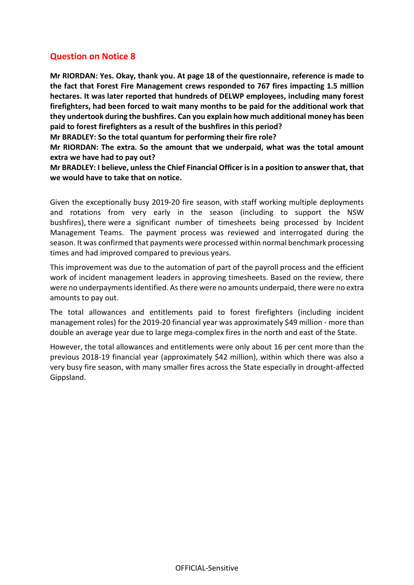**Mr RIORDAN: Yes. Okay, thank you. At page 18 of the questionnaire, reference is made to the fact that Forest Fire Management crews responded to 767 fires impacting 1.5 million hectares. It was later reported that hundreds of DELWP employees, including many forest firefighters, had been forced to wait many months to be paid for the additional work that they undertook during the bushfires. Can you explain how much additional money has been paid to forest firefighters as a result of the bushfires in this period?**

**Mr BRADLEY: So the total quantum for performing their fire role?**

**Mr RIORDAN: The extra. So the amount that we underpaid, what was the total amount extra we have had to pay out?**

**Mr BRADLEY: I believe, unless the Chief Financial Officer is in a position to answer that, that we would have to take that on notice.**

Given the exceptionally busy 2019-20 fire season, with staff working multiple deployments and rotations from very early in the season (including to support the NSW bushfires), there were a significant number of timesheets being processed by Incident Management Teams. The payment process was reviewed and interrogated during the season. It was confirmed that payments were processed within normal benchmark processing times and had improved compared to previous years.

This improvement was due to the automation of part of the payroll process and the efficient work of incident management leaders in approving timesheets. Based on the review, there were no underpayments identified. As there were no amounts underpaid, there were no extra amounts to pay out.

The total allowances and entitlements paid to forest firefighters (including incident management roles) for the 2019-20 financial year was approximately \$49 million - more than double an average year due to large mega-complex fires in the north and east of the State.

However, the total allowances and entitlements were only about 16 per cent more than the previous 2018-19 financial year (approximately \$42 million), within which there was also a very busy fire season, with many smaller fires across the State especially in drought-affected Gippsland.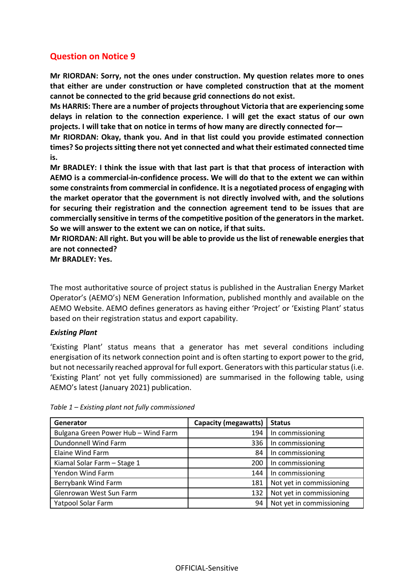**Mr RIORDAN: Sorry, not the ones under construction. My question relates more to ones that either are under construction or have completed construction that at the moment cannot be connected to the grid because grid connections do not exist.**

**Ms HARRIS: There are a number of projects throughout Victoria that are experiencing some delays in relation to the connection experience. I will get the exact status of our own projects. I will take that on notice in terms of how many are directly connected for—**

**Mr RIORDAN: Okay, thank you. And in that list could you provide estimated connection times? So projects sitting there not yet connected and what their estimated connected time is.**

**Mr BRADLEY: I think the issue with that last part is that that process of interaction with AEMO is a commercial-in-confidence process. We will do that to the extent we can within some constraints from commercial in confidence. It is a negotiated process of engaging with the market operator that the government is not directly involved with, and the solutions for securing their registration and the connection agreement tend to be issues that are commercially sensitive in terms of the competitive position of the generators in the market. So we will answer to the extent we can on notice, if that suits.**

**Mr RIORDAN: All right. But you will be able to provide us the list of renewable energies that are not connected?**

**Mr BRADLEY: Yes.**

The most authoritative source of project status is published in the Australian Energy Market Operator's (AEMO's) NEM Generation Information, published monthly and available on the AEMO Website. AEMO defines generators as having either 'Project' or 'Existing Plant' status based on their registration status and export capability.

#### *Existing Plant*

'Existing Plant' status means that a generator has met several conditions including energisation of its network connection point and is often starting to export power to the grid, but not necessarily reached approval for full export. Generators with this particular status (i.e. 'Existing Plant' not yet fully commissioned) are summarised in the following table, using AEMO's latest (January 2021) publication.

| Generator                           | <b>Capacity (megawatts)</b> | <b>Status</b>            |
|-------------------------------------|-----------------------------|--------------------------|
| Bulgana Green Power Hub - Wind Farm | 194                         | In commissioning         |
| Dundonnell Wind Farm                | 336                         | In commissioning         |
| Elaine Wind Farm                    | 84                          | In commissioning         |
| Kiamal Solar Farm - Stage 1         | 200                         | In commissioning         |
| Yendon Wind Farm                    | 144                         | In commissioning         |
| Berrybank Wind Farm                 | 181                         | Not yet in commissioning |
| Glenrowan West Sun Farm             | 132                         | Not yet in commissioning |
| Yatpool Solar Farm                  | 94                          | Not yet in commissioning |

*Table 1 – Existing plant not fully commissioned*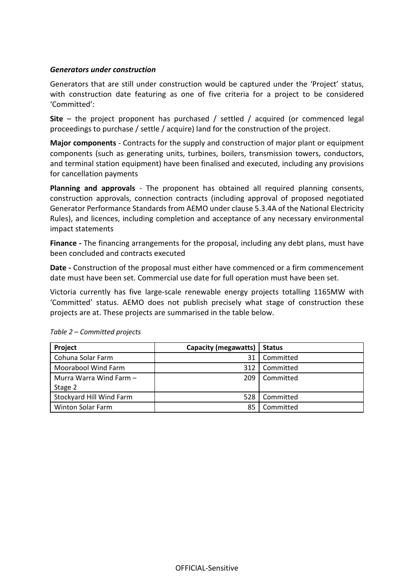#### *Generators under construction*

Generators that are still under construction would be captured under the 'Project' status, with construction date featuring as one of five criteria for a project to be considered 'Committed':

**Site** – the project proponent has purchased / settled / acquired (or commenced legal proceedings to purchase / settle / acquire) land for the construction of the project.

**Major components** - Contracts for the supply and construction of major plant or equipment components (such as generating units, turbines, boilers, transmission towers, conductors, and terminal station equipment) have been finalised and executed, including any provisions for cancellation payments

**Planning and approvals** - The proponent has obtained all required planning consents, construction approvals, connection contracts (including approval of proposed negotiated Generator Performance Standards from AEMO under clause 5.3.4A of the National Electricity Rules), and licences, including completion and acceptance of any necessary environmental impact statements

**Finance -** The financing arrangements for the proposal, including any debt plans, must have been concluded and contracts executed

**Date -** Construction of the proposal must either have commenced or a firm commencement date must have been set. Commercial use date for full operation must have been set.

Victoria currently has five large-scale renewable energy projects totalling 1165MW with 'Committed' status. AEMO does not publish precisely what stage of construction these projects are at. These projects are summarised in the table below.

| Project                  | <b>Capacity (megawatts)</b> | <b>Status</b> |
|--------------------------|-----------------------------|---------------|
| Cohuna Solar Farm        | 31                          | Committed     |
| Moorabool Wind Farm      | 312                         | Committed     |
| Murra Warra Wind Farm -  | 209                         | Committed     |
| Stage 2                  |                             |               |
| Stockyard Hill Wind Farm | 528                         | Committed     |
| <b>Winton Solar Farm</b> | 85                          | Committed     |

*Table 2 – Committed projects*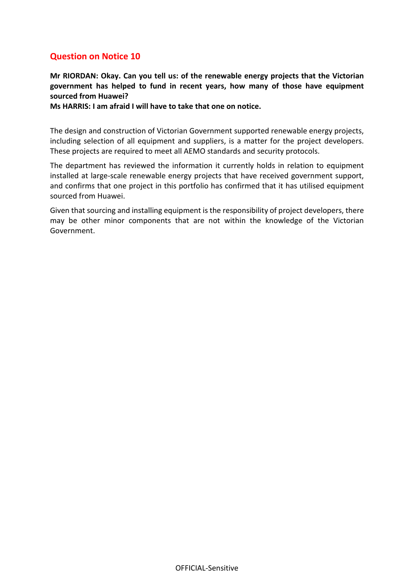**Mr RIORDAN: Okay. Can you tell us: of the renewable energy projects that the Victorian government has helped to fund in recent years, how many of those have equipment sourced from Huawei?**

**Ms HARRIS: I am afraid I will have to take that one on notice.**

The design and construction of Victorian Government supported renewable energy projects, including selection of all equipment and suppliers, is a matter for the project developers. These projects are required to meet all AEMO standards and security protocols.

The department has reviewed the information it currently holds in relation to equipment installed at large-scale renewable energy projects that have received government support, and confirms that one project in this portfolio has confirmed that it has utilised equipment sourced from Huawei.

Given that sourcing and installing equipment is the responsibility of project developers, there may be other minor components that are not within the knowledge of the Victorian Government.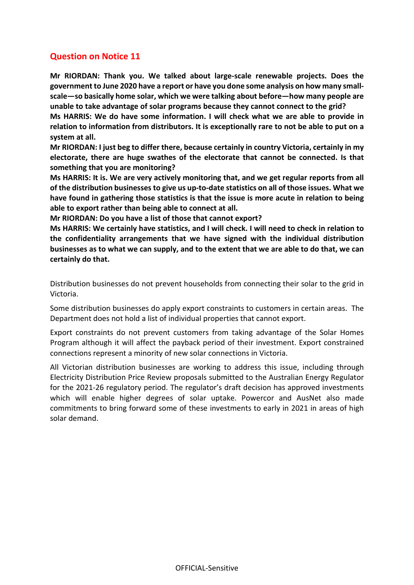**Mr RIORDAN: Thank you. We talked about large-scale renewable projects. Does the government to June 2020 have a report or have you done some analysis on how many smallscale—so basically home solar, which we were talking about before—how many people are unable to take advantage of solar programs because they cannot connect to the grid?**

**Ms HARRIS: We do have some information. I will check what we are able to provide in relation to information from distributors. It is exceptionally rare to not be able to put on a system at all.**

**Mr RIORDAN: I just beg to differ there, because certainly in country Victoria, certainly in my electorate, there are huge swathes of the electorate that cannot be connected. Is that something that you are monitoring?**

**Ms HARRIS: It is. We are very actively monitoring that, and we get regular reports from all of the distribution businesses to give us up-to-date statistics on all of those issues. What we have found in gathering those statistics is that the issue is more acute in relation to being able to export rather than being able to connect at all.**

**Mr RIORDAN: Do you have a list of those that cannot export?**

**Ms HARRIS: We certainly have statistics, and I will check. I will need to check in relation to the confidentiality arrangements that we have signed with the individual distribution businesses as to what we can supply, and to the extent that we are able to do that, we can certainly do that.**

Distribution businesses do not prevent households from connecting their solar to the grid in Victoria.

Some distribution businesses do apply export constraints to customers in certain areas. The Department does not hold a list of individual properties that cannot export.

Export constraints do not prevent customers from taking advantage of the Solar Homes Program although it will affect the payback period of their investment. Export constrained connections represent a minority of new solar connections in Victoria.

All Victorian distribution businesses are working to address this issue, including through Electricity Distribution Price Review proposals submitted to the Australian Energy Regulator for the 2021-26 regulatory period. The regulator's draft decision has approved investments which will enable higher degrees of solar uptake. Powercor and AusNet also made commitments to bring forward some of these investments to early in 2021 in areas of high solar demand.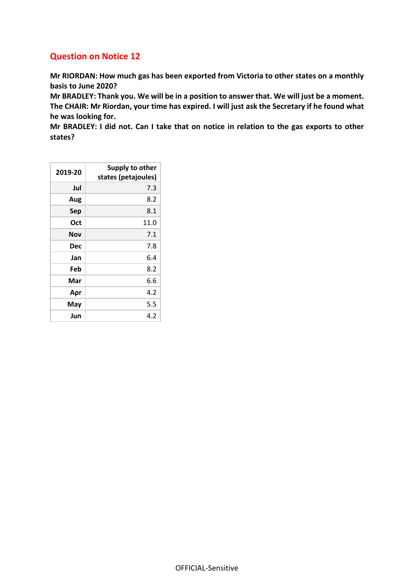**Mr RIORDAN: How much gas has been exported from Victoria to other states on a monthly basis to June 2020?**

**Mr BRADLEY: Thank you. We will be in a position to answer that. We will just be a moment. The CHAIR: Mr Riordan, your time has expired. I will just ask the Secretary if he found what he was looking for.**

**Mr BRADLEY: I did not. Can I take that on notice in relation to the gas exports to other states?**

| 2019-20    | Supply to other<br>states (petajoules) |
|------------|----------------------------------------|
| Jul        | 7.3                                    |
| Aug        | 8.2                                    |
| Sep        | 8.1                                    |
| Oct        | 11.0                                   |
| Nov        | 7.1                                    |
| <b>Dec</b> | 7.8                                    |
| Jan        | 6.4                                    |
| Feb        | 8.2                                    |
| Mar        | 6.6                                    |
| Apr        | 4.2                                    |
| May        | 5.5                                    |
| Jun        | 4.2                                    |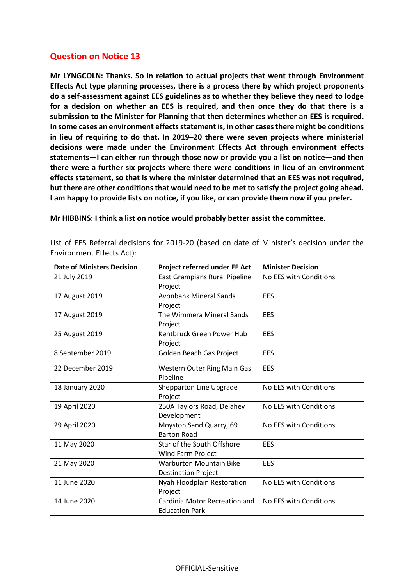**Mr LYNGCOLN: Thanks. So in relation to actual projects that went through Environment Effects Act type planning processes, there is a process there by which project proponents do a self-assessment against EES guidelines as to whether they believe they need to lodge for a decision on whether an EES is required, and then once they do that there is a submission to the Minister for Planning that then determines whether an EES is required. In some cases an environment effects statement is, in other cases there might be conditions in lieu of requiring to do that. In 2019–20 there were seven projects where ministerial decisions were made under the Environment Effects Act through environment effects statements—I can either run through those now or provide you a list on notice—and then there were a further six projects where there were conditions in lieu of an environment effects statement, so that is where the minister determined that an EES was not required, but there are other conditions that would need to be met to satisfy the project going ahead. I am happy to provide lists on notice, if you like, or can provide them now if you prefer.**

**Mr HIBBINS: I think a list on notice would probably better assist the committee.**

List of EES Referral decisions for 2019-20 (based on date of Minister's decision under the Environment Effects Act):

| <b>Date of Ministers Decision</b> | Project referred under EE Act                                | <b>Minister Decision</b> |
|-----------------------------------|--------------------------------------------------------------|--------------------------|
| 21 July 2019                      | East Grampians Rural Pipeline<br>Project                     | No EES with Conditions   |
| 17 August 2019                    | <b>Avonbank Mineral Sands</b><br>Project                     | <b>EES</b>               |
| 17 August 2019                    | The Wimmera Mineral Sands<br>Project                         | EES                      |
| 25 August 2019                    | Kentbruck Green Power Hub<br>Project                         | <b>EES</b>               |
| 8 September 2019                  | Golden Beach Gas Project                                     | EES                      |
| 22 December 2019                  | Western Outer Ring Main Gas<br>Pipeline                      | EES                      |
| 18 January 2020                   | Shepparton Line Upgrade<br>Project                           | No EES with Conditions   |
| 19 April 2020                     | 250A Taylors Road, Delahey<br>Development                    | No EES with Conditions   |
| 29 April 2020                     | Moyston Sand Quarry, 69<br><b>Barton Road</b>                | No EES with Conditions   |
| 11 May 2020                       | Star of the South Offshore<br>Wind Farm Project              | EES                      |
| 21 May 2020                       | <b>Warburton Mountain Bike</b><br><b>Destination Project</b> | EES                      |
| 11 June 2020                      | Nyah Floodplain Restoration<br>Project                       | No EES with Conditions   |
| 14 June 2020                      | Cardinia Motor Recreation and<br><b>Education Park</b>       | No EES with Conditions   |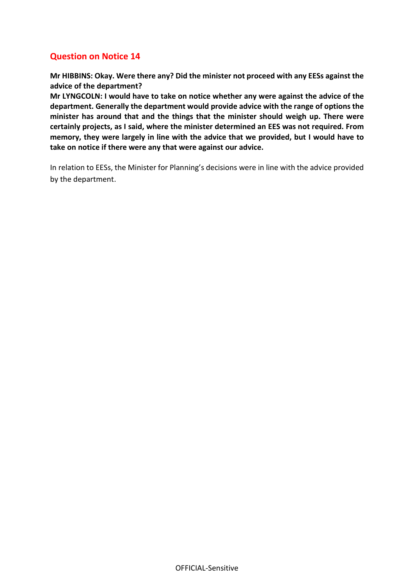**Mr HIBBINS: Okay. Were there any? Did the minister not proceed with any EESs against the advice of the department?**

**Mr LYNGCOLN: I would have to take on notice whether any were against the advice of the department. Generally the department would provide advice with the range of options the minister has around that and the things that the minister should weigh up. There were certainly projects, as I said, where the minister determined an EES was not required. From memory, they were largely in line with the advice that we provided, but I would have to take on notice if there were any that were against our advice.**

In relation to EESs, the Minister for Planning's decisions were in line with the advice provided by the department.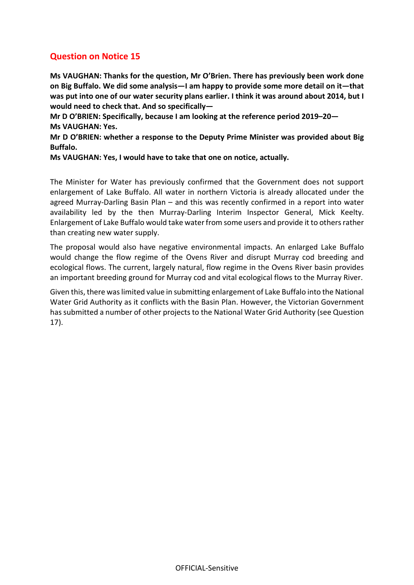**Ms VAUGHAN: Thanks for the question, Mr O'Brien. There has previously been work done on Big Buffalo. We did some analysis—I am happy to provide some more detail on it—that was put into one of our water security plans earlier. I think it was around about 2014, but I would need to check that. And so specifically—**

**Mr D O'BRIEN: Specifically, because I am looking at the reference period 2019–20— Ms VAUGHAN: Yes.**

**Mr D O'BRIEN: whether a response to the Deputy Prime Minister was provided about Big Buffalo.**

**Ms VAUGHAN: Yes, I would have to take that one on notice, actually.**

The Minister for Water has previously confirmed that the Government does not support enlargement of Lake Buffalo. All water in northern Victoria is already allocated under the agreed Murray-Darling Basin Plan – and this was recently confirmed in a report into water availability led by the then Murray-Darling Interim Inspector General, Mick Keelty. Enlargement of Lake Buffalo would take water from some users and provide it to othersrather than creating new water supply.

The proposal would also have negative environmental impacts. An enlarged Lake Buffalo would change the flow regime of the Ovens River and disrupt Murray cod breeding and ecological flows. The current, largely natural, flow regime in the Ovens River basin provides an important breeding ground for Murray cod and vital ecological flows to the Murray River.

Given this, there was limited value in submitting enlargement of Lake Buffalo into the National Water Grid Authority as it conflicts with the Basin Plan. However, the Victorian Government has submitted a number of other projects to the National Water Grid Authority (see Question 17).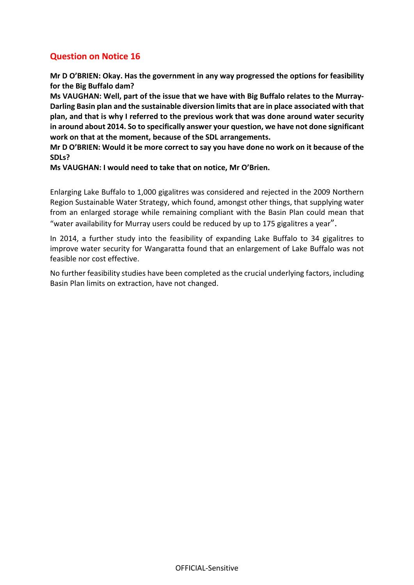**Mr D O'BRIEN: Okay. Has the government in any way progressed the options for feasibility for the Big Buffalo dam?**

**Ms VAUGHAN: Well, part of the issue that we have with Big Buffalo relates to the Murray-Darling Basin plan and the sustainable diversion limits that are in place associated with that plan, and that is why I referred to the previous work that was done around water security in around about 2014. So to specifically answer your question, we have not done significant work on that at the moment, because of the SDL arrangements.**

**Mr D O'BRIEN: Would it be more correct to say you have done no work on it because of the SDLs?**

**Ms VAUGHAN: I would need to take that on notice, Mr O'Brien.**

Enlarging Lake Buffalo to 1,000 gigalitres was considered and rejected in the 2009 Northern Region Sustainable Water Strategy, which found, amongst other things, that supplying water from an enlarged storage while remaining compliant with the Basin Plan could mean that "water availability for Murray users could be reduced by up to 175 gigalitres a year".

In 2014, a further study into the feasibility of expanding Lake Buffalo to 34 gigalitres to improve water security for Wangaratta found that an enlargement of Lake Buffalo was not feasible nor cost effective.

No further feasibility studies have been completed as the crucial underlying factors, including Basin Plan limits on extraction, have not changed.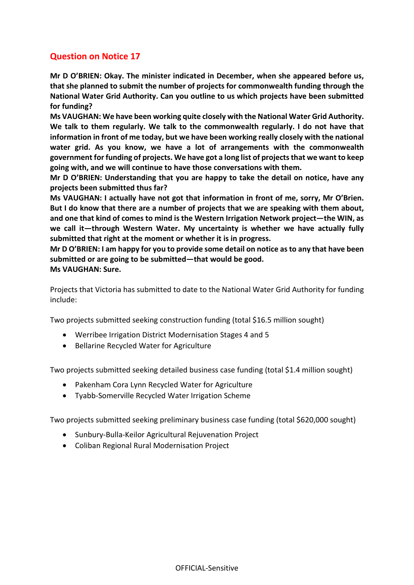**Mr D O'BRIEN: Okay. The minister indicated in December, when she appeared before us, that she planned to submit the number of projects for commonwealth funding through the National Water Grid Authority. Can you outline to us which projects have been submitted for funding?**

**Ms VAUGHAN: We have been working quite closely with the National Water Grid Authority. We talk to them regularly. We talk to the commonwealth regularly. I do not have that information in front of me today, but we have been working really closely with the national water grid. As you know, we have a lot of arrangements with the commonwealth government for funding of projects. We have got a long list of projects that we want to keep going with, and we will continue to have those conversations with them.**

**Mr D O'BRIEN: Understanding that you are happy to take the detail on notice, have any projects been submitted thus far?**

**Ms VAUGHAN: I actually have not got that information in front of me, sorry, Mr O'Brien. But I do know that there are a number of projects that we are speaking with them about, and one that kind of comes to mind is the Western Irrigation Network project—the WIN, as we call it—through Western Water. My uncertainty is whether we have actually fully submitted that right at the moment or whether it is in progress.**

**Mr D O'BRIEN: I am happy for you to provide some detail on notice as to any that have been submitted or are going to be submitted—that would be good. Ms VAUGHAN: Sure.**

Projects that Victoria has submitted to date to the National Water Grid Authority for funding include:

Two projects submitted seeking construction funding (total \$16.5 million sought)

- Werribee Irrigation District Modernisation Stages 4 and 5
- Bellarine Recycled Water for Agriculture

Two projects submitted seeking detailed business case funding (total \$1.4 million sought)

- Pakenham Cora Lynn Recycled Water for Agriculture
- Tyabb-Somerville Recycled Water Irrigation Scheme

Two projects submitted seeking preliminary business case funding (total \$620,000 sought)

- Sunbury-Bulla-Keilor Agricultural Rejuvenation Project
- Coliban Regional Rural Modernisation Project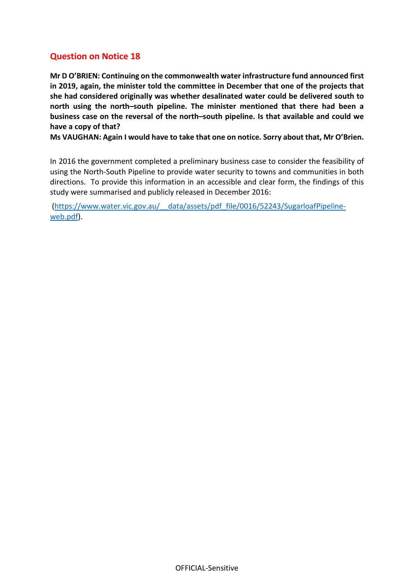**Mr D O'BRIEN: Continuing on the commonwealth water infrastructure fund announced first in 2019, again, the minister told the committee in December that one of the projects that she had considered originally was whether desalinated water could be delivered south to north using the north–south pipeline. The minister mentioned that there had been a business case on the reversal of the north–south pipeline. Is that available and could we have a copy of that?**

**Ms VAUGHAN: Again I would have to take that one on notice. Sorry about that, Mr O'Brien.**

In 2016 the government completed a preliminary business case to consider the feasibility of using the North-South Pipeline to provide water security to towns and communities in both directions. To provide this information in an accessible and clear form, the findings of this study were summarised and publicly released in December 2016:

[\(https://www.water.vic.gov.au/\\_\\_data/assets/pdf\\_file/0016/52243/SugarloafPipeline](https://www.water.vic.gov.au/__data/assets/pdf_file/0016/52243/SugarloafPipeline-web.pdf)[web.pdf\)](https://www.water.vic.gov.au/__data/assets/pdf_file/0016/52243/SugarloafPipeline-web.pdf).